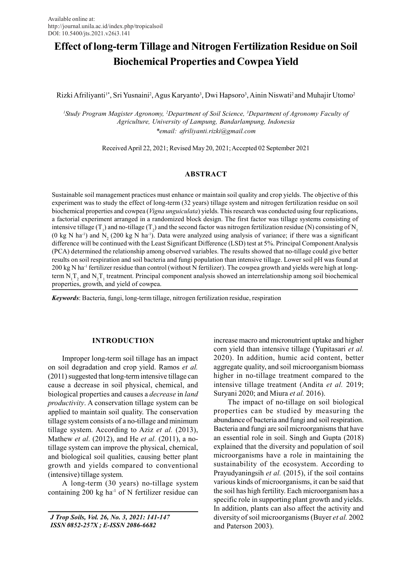# Effect of long-term Tillage and Nitrogen Fertilization Residue on Soil Biochemical Properties and Cowpea Yield

Rizki Afriliyanti<sup>1\*</sup>, Sri Yusnaini<sup>2</sup>, Agus Karyanto<sup>3</sup>, Dwi Hapsoro<sup>3</sup>, Ainin Niswati<sup>2</sup> and Muhajir Utomo<sup>2</sup>

<sup>1</sup>Study Program Magister Agronomy, 2Department of Soil Science, 3Department of Agronomy Faculty of Agriculture, University of Lampung, Bandarlampung, Indonesia \*email: afriliyanti.rizki@gmail.com

Received April 22, 2021; Revised May 20, 2021; Accepted 02 September 2021

# ABSTRACT

Sustainable soil management practices must enhance or maintain soil quality and crop yields. The objective of this experiment was to study the effect of long-term (32 years) tillage system and nitrogen fertilization residue on soil biochemical properties and cowpea (*Vigna unguiculata*) yields. This research was conducted using four replications, a factorial experiment arranged in a randomized block design. The first factor was tillage systems consisting of intensive tillage (T<sub>1</sub>) and no-tillage (T<sub>2</sub>) and the second factor was nitrogen fertilization residue (N) consisting of N<sub>1</sub> (0 kg N ha<sup>-1</sup>) and N<sub>2</sub> (200 kg N ha<sup>-1</sup>). Data were analyzed using analysis of variance; if there was a significant difference will be continued with the Least Significant Difference (LSD) test at 5%. Principal Component Analysis (PCA) determined the relationship among observed variables. The results showed that no-tillage could give better results on soil respiration and soil bacteria and fungi population than intensive tillage. Lower soil pH was found at 200 kg N ha<sup>-1</sup> fertilizer residue than control (without N fertilizer). The cowpea growth and yields were high at longterm  $N_1T_2$  and  $N_2T_1$  treatment. Principal component analysis showed an interrelationship among soil biochemical properties, growth, and yield of cowpea.

Keywords: Bacteria, fungi, long-term tillage, nitrogen fertilization residue, respiration

### INTRODUCTION

Improper long-term soil tillage has an impact on soil degradation and crop yield. Ramos et al. (2011) suggested that long-term intensive tillage can cause a decrease in soil physical, chemical, and biological properties and causes a decrease in land productivity. A conservation tillage system can be applied to maintain soil quality. The conservation tillage system consists of a no-tillage and minimum tillage system. According to Aziz et al.  $(2013)$ , Mathew *et al.* (2012), and He *et al.* (2011), a notillage system can improve the physical, chemical, and biological soil qualities, causing better plant growth and yields compared to conventional (intensive) tillage system.

A long-term (30 years) no-tillage system containing  $200 \text{ kg}$  ha<sup>-1</sup> of N fertilizer residue can

 J Trop Soils, Vol. 26, No. 3, 2021: 141-147 ISSN 0852-257X ; E-ISSN 2086-6682

increase macro and micronutrient uptake and higher corn yield than intensive tillage (Yupitasari et al. 2020). In addition, humic acid content, better aggregate quality, and soil microorganism biomass higher in no-tillage treatment compared to the intensive tillage treatment (Andita et al. 2019; Suryani 2020; and Miura et al. 2016).

The impact of no-tillage on soil biological properties can be studied by measuring the abundance of bacteria and fungi and soil respiration. Bacteria and fungi are soil microorganisms that have an essential role in soil. Singh and Gupta (2018) explained that the diversity and population of soil microorganisms have a role in maintaining the sustainability of the ecosystem. According to Prayudyaningsih et al. (2015), if the soil contains various kinds of microorganisms, it can be said that the soil has high fertility. Each microorganism has a specific role in supporting plant growth and yields. In addition, plants can also affect the activity and diversity of soil microorganisms (Buyer et al. 2002 and Paterson 2003).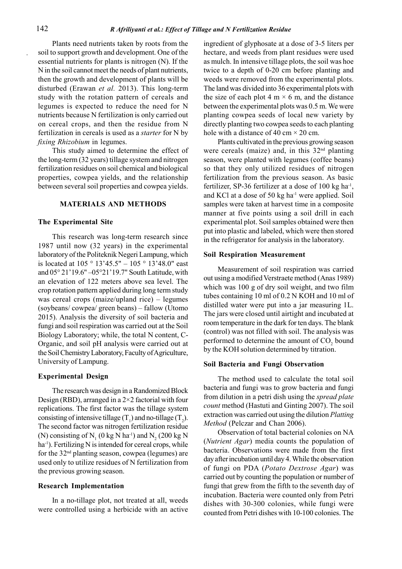Plants need nutrients taken by roots from the soil to support growth and development. One of the essential nutrients for plants is nitrogen (N). If the N in the soil cannot meet the needs of plant nutrients, then the growth and development of plants will be disturbed (Erawan et al. 2013). This long-term study with the rotation pattern of cereals and legumes is expected to reduce the need for N nutrients because N fertilization is only carried out on cereal crops, and then the residue from N fertilization in cereals is used as a starter for N by fixing Rhizobium in legumes.

This study aimed to determine the effect of the long-term (32 years) tillage system and nitrogen fertilization residues on soil chemical and biological properties, cowpea yields, and the relationship between several soil properties and cowpea yields.

# MATERIALS AND METHODS

#### The Experimental Site

This research was long-term research since 1987 until now (32 years) in the experimental laboratory of the Politeknik Negeri Lampung, which is located at  $105°13'45.5" - 105°13'48.0"$  east and 05° 21'19.6" –05°21'19.7" South Latitude, with an elevation of 122 meters above sea level. The crop rotation pattern applied during long term study was cereal crops (maize/upland rice) – legumes (soybeans/ cowpea/ green beans) – fallow (Utomo 2015). Analysis the diversity of soil bacteria and fungi and soil respiration was carried out at the Soil Biology Laboratory; while, the total N content, C-Organic, and soil pH analysis were carried out at the Soil Chemistry Laboratory, Faculty of Agriculture, University of Lampung.

## Experimental Design

The research was design in a Randomized Block Design (RBD), arranged in a  $2\times 2$  factorial with four replications. The first factor was the tillage system consisting of intensive tillage  $(T_1)$  and no-tillage  $(T_2)$ . The second factor was nitrogen fertilization residue (N) consisting of  $N_1$  (0 kg N ha<sup>-1</sup>) and  $N_2$  (200 kg N  $ha^{-1}$ ). Fertilizing N is intended for cereal crops, while for the 32nd planting season, cowpea (legumes) are used only to utilize residues of N fertilization from the previous growing season.

#### Research Implementation

In a no-tillage plot, not treated at all, weeds were controlled using a herbicide with an active

ingredient of glyphosate at a dose of 3-5 liters per hectare, and weeds from plant residues were used as mulch. In intensive tillage plots, the soil was hoe twice to a depth of 0-20 cm before planting and weeds were removed from the experimental plots. The land was divided into 36 experimental plots with the size of each plot 4  $m \times 6$  m, and the distance between the experimental plots was 0.5 m. We were planting cowpea seeds of local new variety by directly planting two cowpea seeds to each planting hole with a distance of 40 cm  $\times$  20 cm.

Plants cultivated in the previous growing season were cereals (maize) and, in this 32<sup>nd</sup> planting season, were planted with legumes (coffee beans) so that they only utilized residues of nitrogen fertilization from the previous season. As basic fertilizer, SP-36 fertilizer at a dose of 100 kg ha<sup>-1</sup>, and KCl at a dose of 50 kg ha-1 were applied. Soil samples were taken at harvest time in a composite manner at five points using a soil drill in each experimental plot. Soil samples obtained were then put into plastic and labeled, which were then stored in the refrigerator for analysis in the laboratory.

## Soil Respiration Measurement

Measurement of soil respiration was carried out using a modified Verstraete method (Anas 1989) which was 100 g of dry soil weight, and two film tubes containing 10 ml of 0.2 N KOH and 10 ml of distilled water were put into a jar measuring 1L. The jars were closed until airtight and incubated at room temperature in the dark for ten days. The blank (control) was not filled with soil. The analysis was performed to determine the amount of  $CO_2$  bound by the KOH solution determined by titration.

## Soil Bacteria and Fungi Observation

The method used to calculate the total soil bacteria and fungi was to grow bacteria and fungi from dilution in a petri dish using the *spread plate* count method (Hastuti and Ginting 2007). The soil extraction was carried out using the dilution Platting Method (Pelczar and Chan 2006).

Observation of total bacterial colonies on NA (Nutrient Agar) media counts the population of bacteria. Observations were made from the first day after incubation until day 4. While the observation of fungi on PDA (Potato Dextrose Agar) was carried out by counting the population or number of fungi that grew from the fifth to the seventh day of incubation. Bacteria were counted only from Petri dishes with 30-300 colonies, while fungi were counted from Petri dishes with 10-100 colonies. The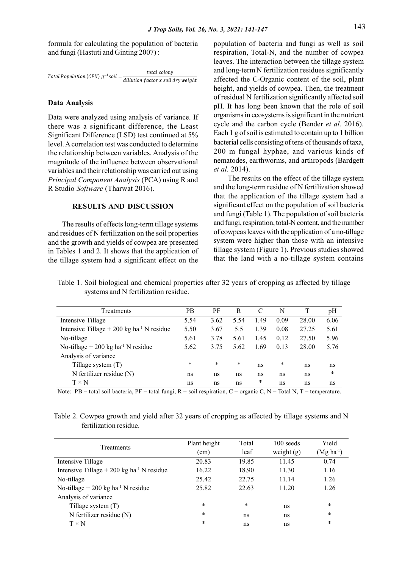formula for calculating the population of bacteria and fungi (Hastuti and Ginting 2007) :

() −1 =

#### Data Analysis

Data were analyzed using analysis of variance. If there was a significant difference, the Least Significant Difference (LSD) test continued at 5% level. A correlation test was conducted to determine the relationship between variables. Analysis of the magnitude of the influence between observational variables and their relationship was carried out using Principal Component Analysis (PCA) using R and R Studio Software (Tharwat 2016).

# RESULTS AND DISCUSSION

The results of effects long-term tillage systems and residues of N fertilization on the soil properties and the growth and yields of cowpea are presented in Tables 1 and 2. It shows that the application of the tillage system had a significant effect on the

 $\frac{d}{dt}$  dillution factor x soil dry weight affected the C-Organic content of the soil, plant population of bacteria and fungi as well as soil respiration, Total-N, and the number of cowpea leaves. The interaction between the tillage system and long-term N fertilization residues significantly height, and yields of cowpea. Then, the treatment of residual N fertilization significantly affected soil pH. It has long been known that the role of soil organisms in ecosystems is significant in the nutrient cycle and the carbon cycle (Bender et al. 2016). Each 1 g of soil is estimated to contain up to 1 billion bacterial cells consisting of tens of thousands of taxa, 200 m fungal hyphae, and various kinds of nematodes, earthworms, and arthropods (Bardgett et al. 2014).

> The results on the effect of the tillage system and the long-term residue of N fertilization showed that the application of the tillage system had a significant effect on the population of soil bacteria and fungi (Table 1). The population of soil bacteria and fungi, respiration, total-N content, and the number of cowpeas leaves with the application of a no-tillage system were higher than those with an intensive tillage system (Figure 1). Previous studies showed that the land with a no-tillage system contains

Table 1. Soil biological and chemical properties after 32 years of cropping as affected by tillage systems and N fertilization residue.

| Treatments                                                      | PB   | PF     | R      | C    | N    |       | pН   |
|-----------------------------------------------------------------|------|--------|--------|------|------|-------|------|
| Intensive Tillage                                               | 5.54 | 3.62   | 5.54   | 1.49 | 0.09 | 28.00 | 6.06 |
| Intensive Tillage $+ 200 \text{ kg}$ ha <sup>-1</sup> N residue | 5.50 | 3.67   | 5.5    | 1.39 | 0.08 | 27.25 | 5.61 |
| No-tillage                                                      | 5.61 | 3.78   | 5.61   | 1.45 | 0.12 | 27.50 | 5.96 |
| No-tillage + 200 kg ha <sup>-1</sup> N residue                  | 5.62 | 3.75   | 5.62   | 1.69 | 0.13 | 28.00 | 5.76 |
| Analysis of variance                                            |      |        |        |      |      |       |      |
| Tillage system (T)                                              | *    | $\ast$ | $\ast$ | ns   | *    | ns    | ns   |
| N fertilizer residue (N)                                        | ns   | ns     | ns     | ns   | ns   | ns    | ∗    |
| $T \times N$                                                    | ns   | ns     | ns     | ∗    | ns   | ns    | ns   |

Note:  $PB =$  total soil bacteria,  $PF =$  total fungi,  $R =$  soil respiration,  $C =$  organic C,  $N =$  Total N,  $T =$  temperature.

Table 2. Cowpea growth and yield after 32 years of cropping as affected by tillage systems and N fertilization residue.

|                                                                        | Plant height | Total  | $100$ seeds  | Yield          |
|------------------------------------------------------------------------|--------------|--------|--------------|----------------|
| Treatments                                                             | (cm)         | leaf   | weight $(g)$ | $(Mg ha^{-1})$ |
| Intensive Tillage                                                      | 20.83        | 19.85  | 11.45        | 0.74           |
| Intensive Tillage $+ 200 \text{ kg} \text{ ha}^{-1} \text{ N}$ residue | 16.22        | 18.90  | 11.30        | 1.16           |
| No-tillage                                                             | 25.42        | 22.75  | 11.14        | 1.26           |
| No-tillage + 200 kg ha <sup>-1</sup> N residue                         | 25.82        | 22.63  | 11.20        | 1.26           |
| Analysis of variance                                                   |              |        |              |                |
| Tillage system (T)                                                     | $\ast$       | $\ast$ | ns           | $\ast$         |
| N fertilizer residue $(N)$                                             | $\ast$       | ns     | ns           | $\ast$         |
| $T \times N$                                                           | $\ast$       | ns     | ns           | *              |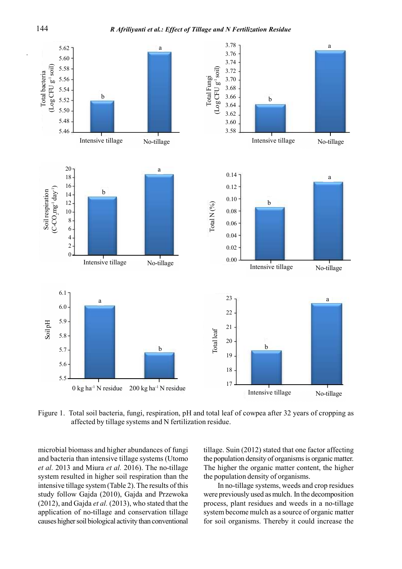

Figure 1. Total soil bacteria, fungi, respiration, pH and total leaf of cowpea after 32 years of cropping as affected by tillage systems and N fertilization residue.

microbial biomass and higher abundances of fungi and bacteria than intensive tillage systems (Utomo et al. 2013 and Miura et al. 2016). The no-tillage system resulted in higher soil respiration than the intensive tillage system (Table 2). The results of this study follow Gajda (2010), Gajda and Przewoka  $(2012)$ , and Gajda *et al.*  $(2013)$ , who stated that the application of no-tillage and conservation tillage causes higher soil biological activity than conventional tillage. Suin (2012) stated that one factor affecting the population density of organisms is organic matter. The higher the organic matter content, the higher the population density of organisms.

In no-tillage systems, weeds and crop residues were previously used as mulch. In the decomposition process, plant residues and weeds in a no-tillage system become mulch as a source of organic matter for soil organisms. Thereby it could increase the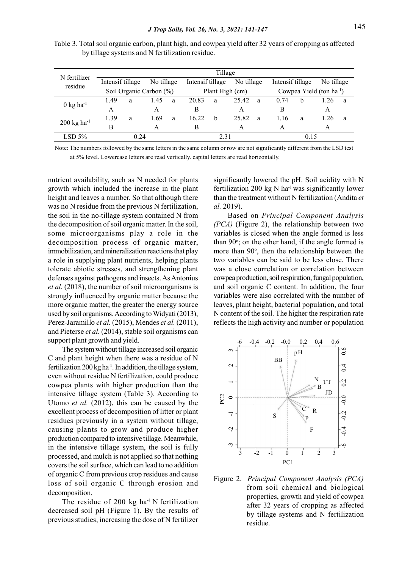| N fertilizer<br>residue          | Tillage                 |   |            |                 |                  |   |            |                               |                  |   |            |   |
|----------------------------------|-------------------------|---|------------|-----------------|------------------|---|------------|-------------------------------|------------------|---|------------|---|
|                                  | Intensif tillage        |   | No tillage |                 | Intensif tillage |   | No tillage |                               | Intensif tillage |   | No tillage |   |
|                                  | Soil Organic Carbon (%) |   |            | Plant High (cm) |                  |   |            | Cowpea Yield (ton $ha^{-1}$ ) |                  |   |            |   |
| $0 \text{ kg} \text{ ha}^{-1}$   | 1.49                    | a | 1.45       | a               | 20.83            | a | 25.42      | a                             | 0.74             | b | 1.26       | a |
|                                  | А                       |   | A          |                 | В                |   | A          |                               | B                |   | А          |   |
| $200 \text{ kg} \text{ ha}^{-1}$ | 1.39                    | a | 1.69       | a               | 16.22            | b | 25.82      | <sub>a</sub>                  | 1.16             | a | 1.26       | a |
|                                  | B                       |   | A          |                 | В                |   | A          |                               | A                |   | A          |   |
| LSD 5%                           | 0.24                    |   |            | 2.31            |                  |   | 0.15       |                               |                  |   |            |   |

Table 3. Total soil organic carbon, plant high, and cowpea yield after 32 years of cropping as affected by tillage systems and N fertilization residue.

Note: The numbers followed by the same letters in the same column or row are not significantly different from the LSD test at 5% level. Lowercase letters are read vertically. capital letters are read horizontally.

nutrient availability, such as N needed for plants growth which included the increase in the plant height and leaves a number. So that although there was no N residue from the previous N fertilization, the soil in the no-tillage system contained N from the decomposition of soil organic matter. In the soil, some microorganisms play a role in the decomposition process of organic matter, immobilization, and mineralization reactions that play a role in supplying plant nutrients, helping plants tolerate abiotic stresses, and strengthening plant defenses against pathogens and insects. As Antonius et al. (2018), the number of soil microorganisms is strongly influenced by organic matter because the more organic matter, the greater the energy source used by soil organisms. According to Widyati (2013), Perez-Jaramillo et al. (2015), Mendes et al. (2011), and Pieterse et al. (2014), stable soil organisms can support plant growth and yield.

The system without tillage increased soil organic C and plant height when there was a residue of N fertilization  $200 \text{ kg}$  ha<sup>-1</sup>. In addition, the tillage system, even without residue N fertilization, could produce cowpea plants with higher production than the intensive tillage system (Table 3). According to Utomo et al. (2012), this can be caused by the excellent process of decomposition of litter or plant residues previously in a system without tillage, causing plants to grow and produce higher production compared to intensive tillage. Meanwhile, in the intensive tillage system, the soil is fully processed, and mulch is not applied so that nothing covers the soil surface, which can lead to no addition of organic C from previous crop residues and cause loss of soil organic C through erosion and decomposition.

The residue of 200 kg ha $^{-1}$  N fertilization decreased soil pH (Figure 1). By the results of previous studies, increasing the dose of N fertilizer

significantly lowered the pH. Soil acidity with N fertilization 200 kg N ha $^{-1}$  was significantly lower than the treatment without N fertilization (Andita et al. 2019).

Based on Principal Component Analysis  $(PCA)$  (Figure 2), the relationship between two variables is closed when the angle formed is less than 90°; on the other hand, if the angle formed is more than  $90^\circ$ , then the relationship between the two variables can be said to be less close. There was a close correlation or correlation between cowpea production, soil respiration, fungal population, and soil organic C content. In addition, the four variables were also correlated with the number of leaves, plant height, bacterial population, and total N content of the soil. The higher the respiration rate reflects the high activity and number or population



Figure 2. Principal Component Analysis (PCA) from soil chemical and biological properties, growth and yield of cowpea after 32 years of cropping as affected by tillage systems and N fertilization residue.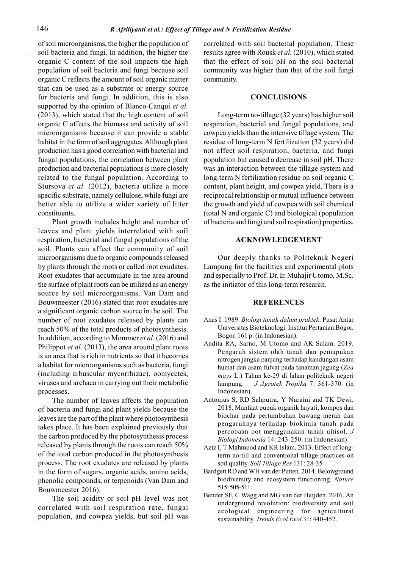of soil microorganisms, the higher the population of soil bacteria and fungi. In addition, the higher the organic C content of the soil impacts the high population of soil bacteria and fungi because soil organic C reflects the amount of soil organic matter that can be used as a substrate or energy source for bacteria and fungi. In addition, this is also supported by the opinion of Blanco-Canqui et al. (2013), which stated that the high content of soil organic C affects the biomass and activity of soil microorganisms because it can provide a stable habitat in the form of soil aggregates. Although plant production has a good correlation with bacterial and fungal populations, the correlation between plant production and bacterial populations is more closely related to the fungal population. According to Stursova et al. (2012), bacteria utilize a more specific substrate, namely cellulose, while fungi are better able to utilize a wider variety of litter constituents.

Plant growth includes height and number of leaves and plant yields interrelated with soil respiration, bacterial and fungal populations of the soil. Plants can affect the community of soil microorganisms due to organic compounds released by plants through the roots or called root exudates. Root exudates that accumulate in the area around the surface of plant roots can be utilized as an energy source by soil microorganisms. Van Dam and Bouwmeester (2016) stated that root exudates are a significant organic carbon source in the soil. The number of root exudates released by plants can reach 50% of the total products of photosynthesis. In addition, according to Mommer et al. (2016) and Philippot et al. (2013), the area around plant roots is an area that is rich in nutrients so that it becomes a habitat for microorganisms such as bacteria, fungi (including arbuscular mycorrhizae), oomycetes, viruses and archaea in carrying out their metabolic processes.

The number of leaves affects the population of bacteria and fungi and plant yields because the leaves are the part of the plant where photosynthesis takes place. It has been explained previously that the carbon produced by the photosynthesis process released by plants through the roots can reach 50% of the total carbon produced in the photosynthesis process. The root exudates are released by plants in the form of sugars, organic acids, amino acids, phenolic compounds, or terpenoids (Van Dam and Bouwmeester 2016).

The soil acidity or soil pH level was not correlated with soil respiration rate, fungal population, and cowpea yields, but soil pH was

correlated with soil bacterial population. These results agree with Rousk *et al.* (2010), which stated that the effect of soil pH on the soil bacterial community was higher than that of the soil fungi community.

## **CONCLUSIONS**

Long-term no-tillage (32 years) has higher soil respiration, bacterial and fungal populations, and cowpea yields than the intensive tillage system. The residue of long-term N fertilization (32 years) did not affect soil respiration, bacteria, and fungi population but caused a decrease in soil pH. There was an interaction between the tillage system and long-term N fertilization residue on soil organic C content, plant height, and cowpea yield. There is a reciprocal relationship or mutual influence between the growth and yield of cowpea with soil chemical (total N and organic C) and biological (population of bacteria and fungi and soil respiration) properties.

## ACKNOWLEDGEMENT

Our deeply thanks to Politeknik Negeri Lampung for the facilities and experimental plots and especially to Prof. Dr. Ir. Muhajir Utomo, M.Sc. as the initiator of this long-term research.

### **REFERENCES**

- Anas I. 1989. Biologi tanah dalam praktek. Pusat Antar Universitas Bioteknologi. Institut Pertanian Bogor. Bogor. 161 p. (in Indonesian).
- Andita RA, Sarno, M Utomo and AK Salam. 2019. Pengaruh sistem olah tanah dan pemupukan nitrogen jangka panjang terhadap kandungan asam humat dan asam fulvat pada tanaman jagung (Zea mays L.) Tahun ke-29 di lahan politeknik negeri lampung. J Agrotek Tropika 7: 361-370. (in Indonesian).
- Antonius S, RD Sahputra, Y Nuraini and TK Dewi. 2018. Manfaat pupuk organik hayati, kompos dan biochar pada pertumbuhan bawang merah dan pengaruhnya terhadap biokimia tanah pada percobaan pot menggunakan tanah ultisol. J Biologi Indonesia 14: 243-250. (in Indonesian).
- Aziz I, T Mahmood and KR Islam. 2013. Effect of longterm no-till and conventional tillage practices on soil quality. Soil Tillage Res 131: 28-35
- Bardgett RD and WH van der Putten. 2014. Belowground biodiversity and ecosystem functioning. Nature 515: 505-511.
- Bender SF, C Wagg and MG van der Heijden. 2016. An underground revolution: biodiversity and soil ecological engineering for agricultural sustainability. Trends Ecol Evol 31: 440-452.